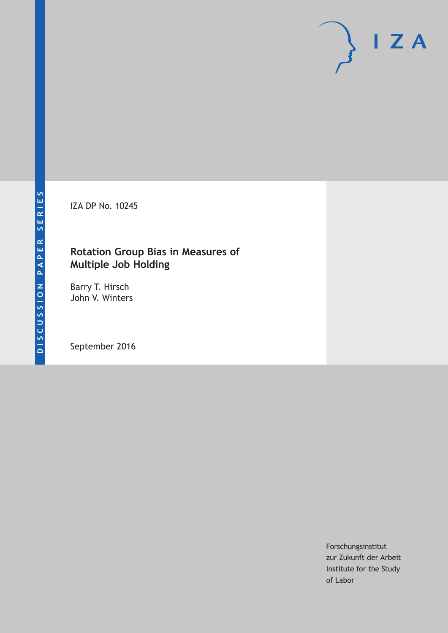IZA DP No. 10245

## **Rotation Group Bias in Measures of Multiple Job Holding**

Barry T. Hirsch John V. Winters

September 2016

Forschungsinstitut zur Zukunft der Arbeit Institute for the Study of Labor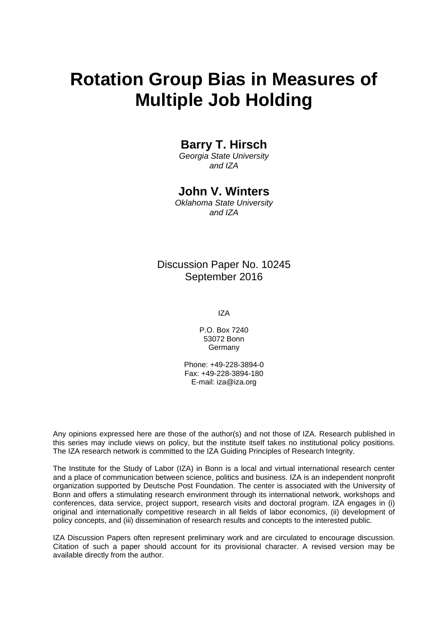# **Rotation Group Bias in Measures of Multiple Job Holding**

### **Barry T. Hirsch**

*Georgia State University and IZA* 

### **John V. Winters**

*Oklahoma State University and IZA* 

### Discussion Paper No. 10245 September 2016

IZA

P.O. Box 7240 53072 Bonn Germany

Phone: +49-228-3894-0 Fax: +49-228-3894-180 E-mail: iza@iza.org

Any opinions expressed here are those of the author(s) and not those of IZA. Research published in this series may include views on policy, but the institute itself takes no institutional policy positions. The IZA research network is committed to the IZA Guiding Principles of Research Integrity.

The Institute for the Study of Labor (IZA) in Bonn is a local and virtual international research center and a place of communication between science, politics and business. IZA is an independent nonprofit organization supported by Deutsche Post Foundation. The center is associated with the University of Bonn and offers a stimulating research environment through its international network, workshops and conferences, data service, project support, research visits and doctoral program. IZA engages in (i) original and internationally competitive research in all fields of labor economics, (ii) development of policy concepts, and (iii) dissemination of research results and concepts to the interested public.

IZA Discussion Papers often represent preliminary work and are circulated to encourage discussion. Citation of such a paper should account for its provisional character. A revised version may be available directly from the author.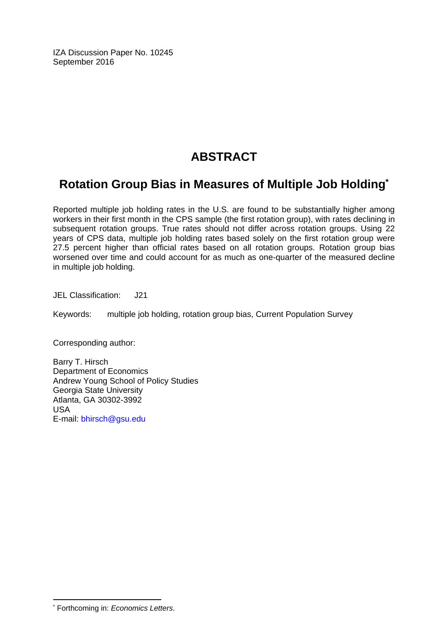IZA Discussion Paper No. 10245 September 2016

# **ABSTRACT**

# **Rotation Group Bias in Measures of Multiple Job Holding\***

Reported multiple job holding rates in the U.S. are found to be substantially higher among workers in their first month in the CPS sample (the first rotation group), with rates declining in subsequent rotation groups. True rates should not differ across rotation groups. Using 22 years of CPS data, multiple job holding rates based solely on the first rotation group were 27.5 percent higher than official rates based on all rotation groups. Rotation group bias worsened over time and could account for as much as one-quarter of the measured decline in multiple job holding.

JEL Classification: J21

Keywords: multiple job holding, rotation group bias, Current Population Survey

Corresponding author:

Barry T. Hirsch Department of Economics Andrew Young School of Policy Studies Georgia State University Atlanta, GA 30302-3992 USA E-mail: bhirsch@gsu.edu

 $\overline{a}$ 

<sup>\*</sup> Forthcoming in: *Economics Letters*.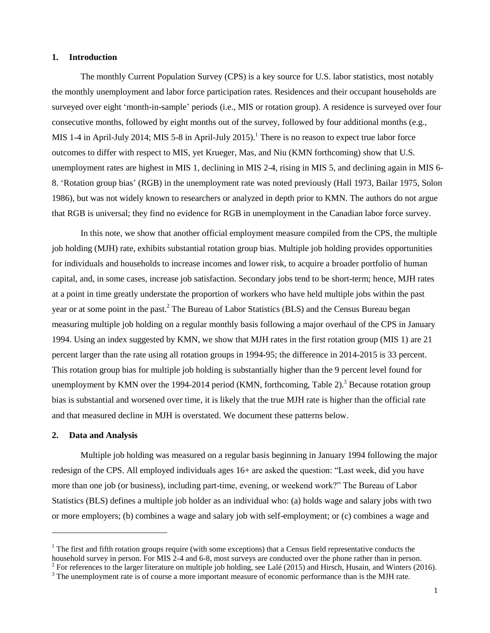#### **1. Introduction**

The monthly Current Population Survey (CPS) is a key source for U.S. labor statistics, most notably the monthly unemployment and labor force participation rates. Residences and their occupant households are surveyed over eight 'month-in-sample' periods (i.e., MIS or rotation group). A residence is surveyed over four consecutive months, followed by eight months out of the survey, followed by four additional months (e.g., MIS 1-4 in April-July 2014; MIS 5-8 in April-July 2015).<sup>1</sup> There is no reason to expect true labor force outcomes to differ with respect to MIS, yet Krueger, Mas, and Niu (KMN forthcoming) show that U.S. unemployment rates are highest in MIS 1, declining in MIS 2-4, rising in MIS 5, and declining again in MIS 6- 8. 'Rotation group bias' (RGB) in the unemployment rate was noted previously (Hall 1973, Bailar 1975, Solon 1986), but was not widely known to researchers or analyzed in depth prior to KMN. The authors do not argue that RGB is universal; they find no evidence for RGB in unemployment in the Canadian labor force survey.

In this note, we show that another official employment measure compiled from the CPS, the multiple job holding (MJH) rate, exhibits substantial rotation group bias. Multiple job holding provides opportunities for individuals and households to increase incomes and lower risk, to acquire a broader portfolio of human capital, and, in some cases, increase job satisfaction. Secondary jobs tend to be short-term; hence, MJH rates at a point in time greatly understate the proportion of workers who have held multiple jobs within the past year or at some point in the past.<sup>2</sup> The Bureau of Labor Statistics (BLS) and the Census Bureau began measuring multiple job holding on a regular monthly basis following a major overhaul of the CPS in January 1994. Using an index suggested by KMN, we show that MJH rates in the first rotation group (MIS 1) are 21 percent larger than the rate using all rotation groups in 1994-95; the difference in 2014-2015 is 33 percent. This rotation group bias for multiple job holding is substantially higher than the 9 percent level found for unemployment by KMN over the 1994-2014 period (KMN, forthcoming, Table 2).<sup>3</sup> Because rotation group bias is substantial and worsened over time, it is likely that the true MJH rate is higher than the official rate and that measured decline in MJH is overstated. We document these patterns below.

### **2. Data and Analysis**

 $\overline{a}$ 

Multiple job holding was measured on a regular basis beginning in January 1994 following the major redesign of the CPS. All employed individuals ages 16+ are asked the question: "Last week, did you have more than one job (or business), including part-time, evening, or weekend work?" The Bureau of Labor Statistics (BLS) defines a multiple job holder as an individual who: (a) holds wage and salary jobs with two or more employers; (b) combines a wage and salary job with self-employment; or (c) combines a wage and

 $1$  The first and fifth rotation groups require (with some exceptions) that a Census field representative conducts the household survey in person. For MIS 2-4 and 6-8, most surveys are conducted over the phone rather than in person.

 $^2$  For references to the larger literature on multiple job holding, see Lalé (2015) and Hirsch, Husain, and Winters (2016). <sup>3</sup> The unemployment rate is of course a more important measure of economic performance than is the MJH rate.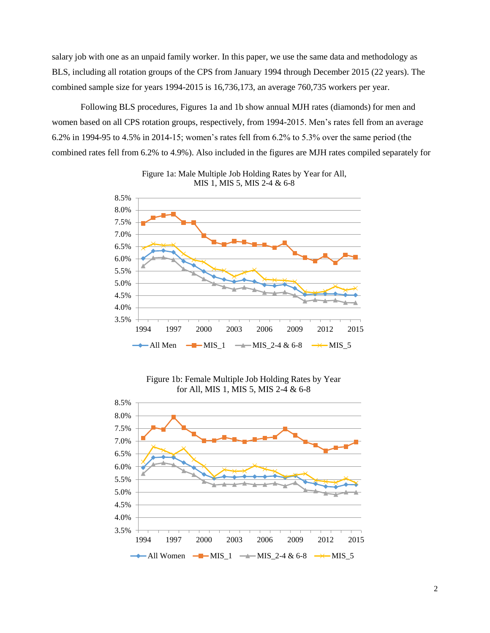salary job with one as an unpaid family worker. In this paper, we use the same data and methodology as BLS, including all rotation groups of the CPS from January 1994 through December 2015 (22 years). The combined sample size for years 1994-2015 is 16,736,173, an average 760,735 workers per year.

Following BLS procedures, Figures 1a and 1b show annual MJH rates (diamonds) for men and women based on all CPS rotation groups, respectively, from 1994-2015. Men's rates fell from an average 6.2% in 1994-95 to 4.5% in 2014-15; women's rates fell from 6.2% to 5.3% over the same period (the combined rates fell from 6.2% to 4.9%). Also included in the figures are MJH rates compiled separately for





Figure 1b: Female Multiple Job Holding Rates by Year for All, MIS 1, MIS 5, MIS 2-4 & 6-8

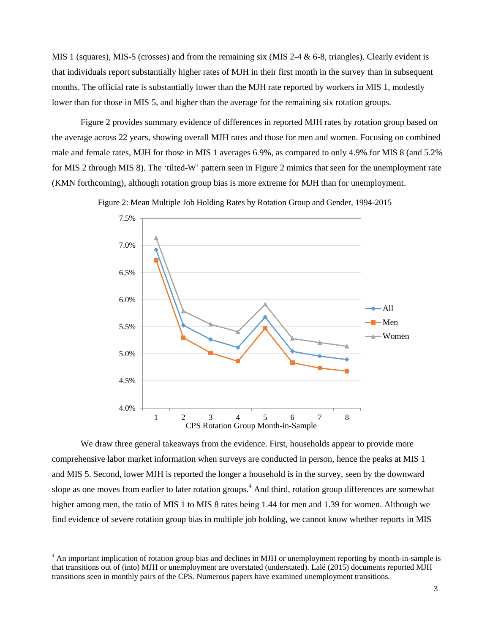MIS 1 (squares), MIS-5 (crosses) and from the remaining six (MIS 2-4  $\&$  6-8, triangles). Clearly evident is that individuals report substantially higher rates of MJH in their first month in the survey than in subsequent months. The official rate is substantially lower than the MJH rate reported by workers in MIS 1, modestly lower than for those in MIS 5, and higher than the average for the remaining six rotation groups.

Figure 2 provides summary evidence of differences in reported MJH rates by rotation group based on the average across 22 years, showing overall MJH rates and those for men and women. Focusing on combined male and female rates, MJH for those in MIS 1 averages 6.9%, as compared to only 4.9% for MIS 8 (and 5.2% for MIS 2 through MIS 8). The 'tilted-W' pattern seen in Figure 2 mimics that seen for the unemployment rate (KMN forthcoming), although rotation group bias is more extreme for MJH than for unemployment.

Figure 2: Mean Multiple Job Holding Rates by Rotation Group and Gender, 1994-2015



We draw three general takeaways from the evidence. First, households appear to provide more comprehensive labor market information when surveys are conducted in person, hence the peaks at MIS 1 and MIS 5. Second, lower MJH is reported the longer a household is in the survey, seen by the downward slope as one moves from earlier to later rotation groups.<sup>4</sup> And third, rotation group differences are somewhat higher among men, the ratio of MIS 1 to MIS 8 rates being 1.44 for men and 1.39 for women. Although we find evidence of severe rotation group bias in multiple job holding, we cannot know whether reports in MIS

 $\overline{a}$ 

 $4 \text{ An important implication of rotation group bias and declines in MJH or unemptyment reporting by month-in-sample is}$ that transitions out of (into) MJH or unemployment are overstated (understated). Lalé (2015) documents reported MJH transitions seen in monthly pairs of the CPS. Numerous papers have examined unemployment transitions.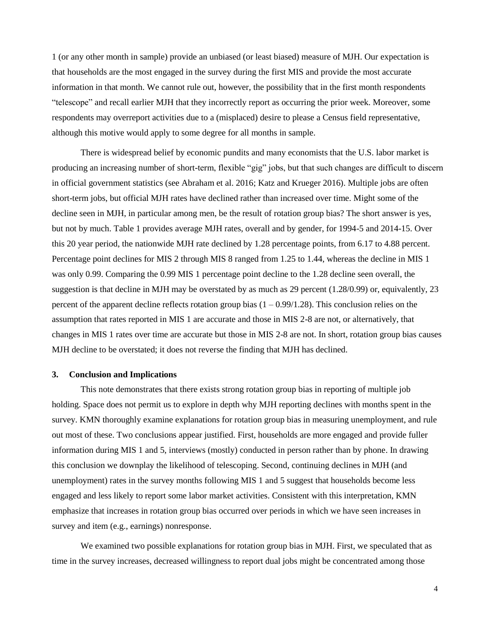1 (or any other month in sample) provide an unbiased (or least biased) measure of MJH. Our expectation is that households are the most engaged in the survey during the first MIS and provide the most accurate information in that month. We cannot rule out, however, the possibility that in the first month respondents "telescope" and recall earlier MJH that they incorrectly report as occurring the prior week. Moreover, some respondents may overreport activities due to a (misplaced) desire to please a Census field representative, although this motive would apply to some degree for all months in sample.

There is widespread belief by economic pundits and many economists that the U.S. labor market is producing an increasing number of short-term, flexible "gig" jobs, but that such changes are difficult to discern in official government statistics (see Abraham et al. 2016; Katz and Krueger 2016). Multiple jobs are often short-term jobs, but official MJH rates have declined rather than increased over time. Might some of the decline seen in MJH, in particular among men, be the result of rotation group bias? The short answer is yes, but not by much. Table 1 provides average MJH rates, overall and by gender, for 1994-5 and 2014-15. Over this 20 year period, the nationwide MJH rate declined by 1.28 percentage points, from 6.17 to 4.88 percent. Percentage point declines for MIS 2 through MIS 8 ranged from 1.25 to 1.44, whereas the decline in MIS 1 was only 0.99. Comparing the 0.99 MIS 1 percentage point decline to the 1.28 decline seen overall, the suggestion is that decline in MJH may be overstated by as much as 29 percent (1.28/0.99) or, equivalently, 23 percent of the apparent decline reflects rotation group bias  $(1 - 0.99/1.28)$ . This conclusion relies on the assumption that rates reported in MIS 1 are accurate and those in MIS 2-8 are not, or alternatively, that changes in MIS 1 rates over time are accurate but those in MIS 2-8 are not. In short, rotation group bias causes MJH decline to be overstated; it does not reverse the finding that MJH has declined.

### **3. Conclusion and Implications**

This note demonstrates that there exists strong rotation group bias in reporting of multiple job holding. Space does not permit us to explore in depth why MJH reporting declines with months spent in the survey. KMN thoroughly examine explanations for rotation group bias in measuring unemployment, and rule out most of these. Two conclusions appear justified. First, households are more engaged and provide fuller information during MIS 1 and 5, interviews (mostly) conducted in person rather than by phone. In drawing this conclusion we downplay the likelihood of telescoping. Second, continuing declines in MJH (and unemployment) rates in the survey months following MIS 1 and 5 suggest that households become less engaged and less likely to report some labor market activities. Consistent with this interpretation, KMN emphasize that increases in rotation group bias occurred over periods in which we have seen increases in survey and item (e.g., earnings) nonresponse.

We examined two possible explanations for rotation group bias in MJH. First, we speculated that as time in the survey increases, decreased willingness to report dual jobs might be concentrated among those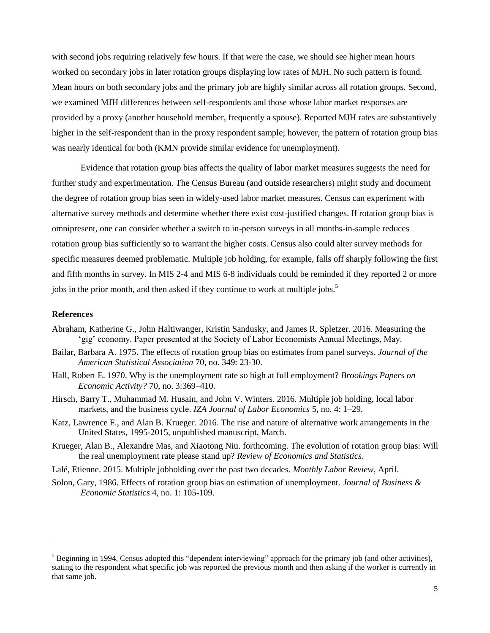with second jobs requiring relatively few hours. If that were the case, we should see higher mean hours worked on secondary jobs in later rotation groups displaying low rates of MJH. No such pattern is found. Mean hours on both secondary jobs and the primary job are highly similar across all rotation groups. Second, we examined MJH differences between self-respondents and those whose labor market responses are provided by a proxy (another household member, frequently a spouse). Reported MJH rates are substantively higher in the self-respondent than in the proxy respondent sample; however, the pattern of rotation group bias was nearly identical for both (KMN provide similar evidence for unemployment).

Evidence that rotation group bias affects the quality of labor market measures suggests the need for further study and experimentation. The Census Bureau (and outside researchers) might study and document the degree of rotation group bias seen in widely-used labor market measures. Census can experiment with alternative survey methods and determine whether there exist cost-justified changes. If rotation group bias is omnipresent, one can consider whether a switch to in-person surveys in all months-in-sample reduces rotation group bias sufficiently so to warrant the higher costs. Census also could alter survey methods for specific measures deemed problematic. Multiple job holding, for example, falls off sharply following the first and fifth months in survey. In MIS 2-4 and MIS 6-8 individuals could be reminded if they reported 2 or more jobs in the prior month, and then asked if they continue to work at multiple jobs.<sup>5</sup>

#### **References**

 $\overline{a}$ 

- Abraham, Katherine G., John Haltiwanger, Kristin Sandusky, and James R. Spletzer. 2016. Measuring the 'gig' economy. Paper presented at the Society of Labor Economists Annual Meetings, May.
- Bailar, Barbara A. 1975. The effects of rotation group bias on estimates from panel surveys. *Journal of the American Statistical Association* 70, no. 349: 23-30.
- Hall, Robert E. 1970. Why is the unemployment rate so high at full employment? *Brookings Papers on Economic Activity?* 70, no. 3:369–410.
- Hirsch, Barry T., Muhammad M. Husain, and John V. Winters. 2016. Multiple job holding, local labor markets, and the business cycle. *IZA Journal of Labor Economics* 5, no. 4: 1–29.
- Katz, Lawrence F., and Alan B. Krueger. 2016. The rise and nature of alternative work arrangements in the United States, 1995-2015, unpublished manuscript, March.
- Krueger, Alan B., Alexandre Mas, and Xiaotong Niu. forthcoming. The evolution of rotation group bias: Will the real unemployment rate please stand up? *Review of Economics and Statistics*.
- Lalé, Etienne. 2015. Multiple jobholding over the past two decades. *Monthly Labor Review*, April.
- Solon, Gary, 1986. Effects of rotation group bias on estimation of unemployment. *Journal of Business & Economic Statistics* 4, no. 1: 105-109.

 $<sup>5</sup>$  Beginning in 1994, Census adopted this "dependent interviewing" approach for the primary job (and other activities),</sup> stating to the respondent what specific job was reported the previous month and then asking if the worker is currently in that same job.